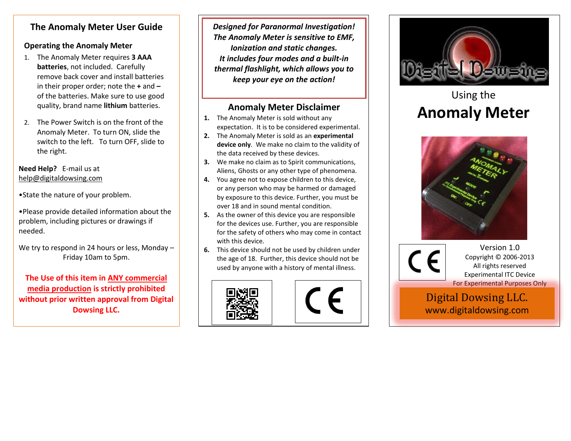## **The Anomaly Meter User Guide**

#### **Operating the Anomaly Meter**

- 1. The Anomaly Meter requires **3 AAA batteries**, not included. Carefully remove back cover and install batteries in their proper order; note the **+** and **–** of the batteries. Make sure to use good quality, brand name **lithium** batteries.
- 2. The Power Switch is on the front of the Anomaly Meter. To turn ON, slide the switch to the left. To turn OFF, slide to the right.

#### **Need Help?** E-mail us at help@digitaldowsing.com

- •State the nature of your problem.
- •Please provide detailed information about the problem, including pictures or drawings if needed.

We try to respond in 24 hours or less, Monday -Friday 10am to 5pm.

**The Use of this item in ANY commercial media production is strictly prohibited without prior written approval from Digital Dowsing LLC.**

*Designed for Paranormal Investigation! The Anomaly Meter is sensitive to EMF, Ionization and static changes. It includes four modes and a built-in thermal flashlight, which allows you to keep your eye on the action!*

## **Anomaly Meter Disclaimer**

- **1.** The Anomaly Meter is sold without any expectation. It is to be considered experimental.
- **2.** The Anomaly Meter is sold as an **experimental device only**. We make no claim to the validity of the data received by these devices.
- **3.** We make no claim as to Spirit communications, Aliens, Ghosts or any other type of phenomena.
- **4.** You agree not to expose children to this device, or any person who may be harmed or damaged by exposure to this device. Further, you must be over 18 and in sound mental condition.
- **5.** As the owner of this device you are responsible for the devices use. Further, you are responsible for the safety of others who may come in contact with this device.
- **6.** This device should not be used by children under the age of 18. Further, this device should not be used by anyone with a history of mental illness.







# Using the **Anomaly Meter**



Version 1.0 Copyright © 2006-2013 All rights reserved Experimental ITC Device For Experimental Purposes Only

Digital Dowsing LLC. Digital Dowsing LLC. www.digitaldowsing.com www.digitaldowsing.com